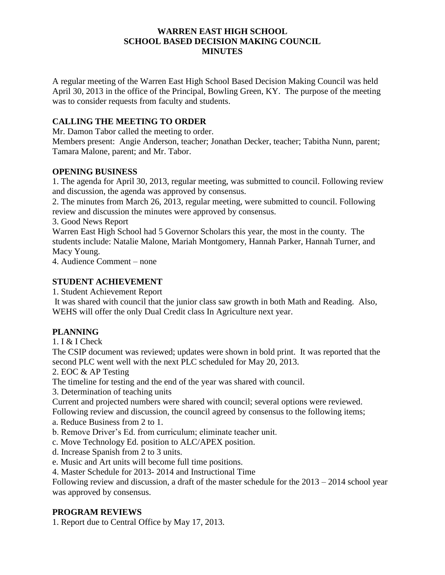#### **WARREN EAST HIGH SCHOOL SCHOOL BASED DECISION MAKING COUNCIL MINUTES**

A regular meeting of the Warren East High School Based Decision Making Council was held April 30, 2013 in the office of the Principal, Bowling Green, KY. The purpose of the meeting was to consider requests from faculty and students.

### **CALLING THE MEETING TO ORDER**

Mr. Damon Tabor called the meeting to order.

Members present: Angie Anderson, teacher; Jonathan Decker, teacher; Tabitha Nunn, parent; Tamara Malone, parent; and Mr. Tabor.

### **OPENING BUSINESS**

1. The agenda for April 30, 2013, regular meeting, was submitted to council. Following review and discussion, the agenda was approved by consensus.

2. The minutes from March 26, 2013, regular meeting, were submitted to council. Following review and discussion the minutes were approved by consensus.

3. Good News Report

Warren East High School had 5 Governor Scholars this year, the most in the county. The students include: Natalie Malone, Mariah Montgomery, Hannah Parker, Hannah Turner, and Macy Young.

4. Audience Comment – none

## **STUDENT ACHIEVEMENT**

1. Student Achievement Report

It was shared with council that the junior class saw growth in both Math and Reading. Also, WEHS will offer the only Dual Credit class In Agriculture next year.

# **PLANNING**

1. I & I Check

The CSIP document was reviewed; updates were shown in bold print. It was reported that the second PLC went well with the next PLC scheduled for May 20, 2013.

2. EOC & AP Testing

The timeline for testing and the end of the year was shared with council.

3. Determination of teaching units

Current and projected numbers were shared with council; several options were reviewed.

Following review and discussion, the council agreed by consensus to the following items;

- a. Reduce Business from 2 to 1.
- b. Remove Driver's Ed. from curriculum; eliminate teacher unit.
- c. Move Technology Ed. position to ALC/APEX position.
- d. Increase Spanish from 2 to 3 units.
- e. Music and Art units will become full time positions.
- 4. Master Schedule for 2013- 2014 and Instructional Time

Following review and discussion, a draft of the master schedule for the 2013 – 2014 school year was approved by consensus.

### **PROGRAM REVIEWS**

1. Report due to Central Office by May 17, 2013.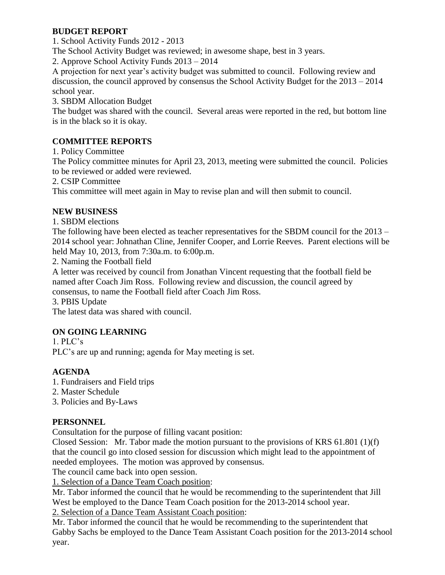## **BUDGET REPORT**

1. School Activity Funds 2012 - 2013

The School Activity Budget was reviewed; in awesome shape, best in 3 years.

2. Approve School Activity Funds 2013 – 2014

A projection for next year's activity budget was submitted to council. Following review and discussion, the council approved by consensus the School Activity Budget for the 2013 – 2014 school year.

3. SBDM Allocation Budget

The budget was shared with the council. Several areas were reported in the red, but bottom line is in the black so it is okay.

# **COMMITTEE REPORTS**

1. Policy Committee

The Policy committee minutes for April 23, 2013, meeting were submitted the council. Policies to be reviewed or added were reviewed.

2. CSIP Committee

This committee will meet again in May to revise plan and will then submit to council.

## **NEW BUSINESS**

1. SBDM elections

The following have been elected as teacher representatives for the SBDM council for the 2013 – 2014 school year: Johnathan Cline, Jennifer Cooper, and Lorrie Reeves. Parent elections will be held May 10, 2013, from 7:30a.m. to 6:00p.m.

2. Naming the Football field

A letter was received by council from Jonathan Vincent requesting that the football field be named after Coach Jim Ross. Following review and discussion, the council agreed by consensus, to name the Football field after Coach Jim Ross.

3. PBIS Update

The latest data was shared with council.

# **ON GOING LEARNING**

1. PLC's PLC's are up and running; agenda for May meeting is set.

# **AGENDA**

- 1. Fundraisers and Field trips
- 2. Master Schedule
- 3. Policies and By-Laws

# **PERSONNEL**

Consultation for the purpose of filling vacant position:

Closed Session: Mr. Tabor made the motion pursuant to the provisions of KRS 61.801 (1)(f) that the council go into closed session for discussion which might lead to the appointment of needed employees. The motion was approved by consensus.

The council came back into open session.

1. Selection of a Dance Team Coach position:

Mr. Tabor informed the council that he would be recommending to the superintendent that Jill West be employed to the Dance Team Coach position for the 2013-2014 school year.

2. Selection of a Dance Team Assistant Coach position:

Mr. Tabor informed the council that he would be recommending to the superintendent that Gabby Sachs be employed to the Dance Team Assistant Coach position for the 2013-2014 school year.